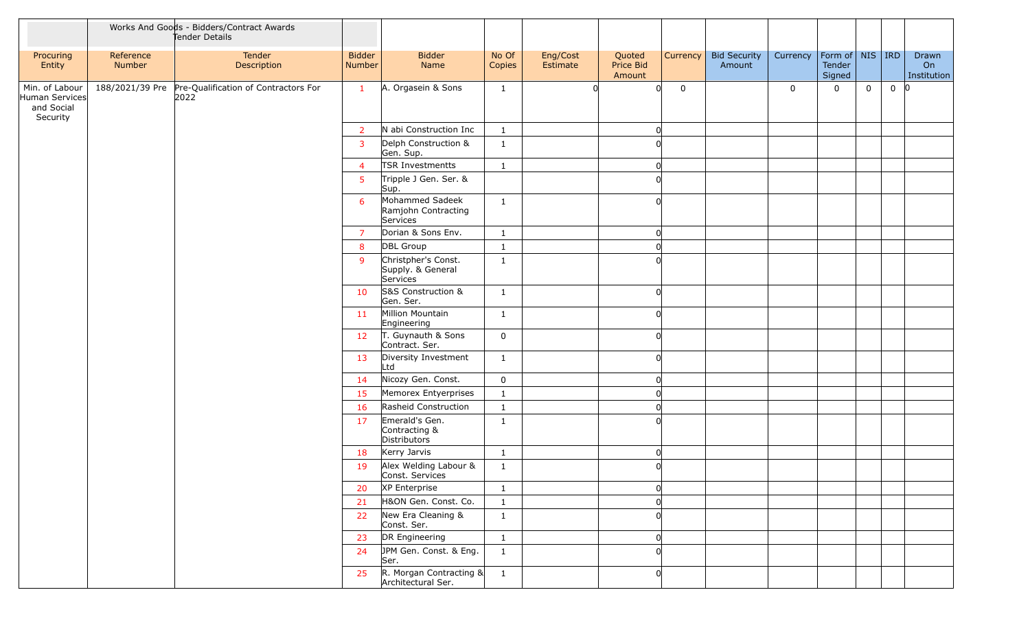|                                                            |                     | Works And Goods - Bidders/Contract Awards<br>Tender Details  |                         |                                                      |                 |                      |                               |                 |                               |             |                                    |             |          |                            |
|------------------------------------------------------------|---------------------|--------------------------------------------------------------|-------------------------|------------------------------------------------------|-----------------|----------------------|-------------------------------|-----------------|-------------------------------|-------------|------------------------------------|-------------|----------|----------------------------|
| Procuring<br>Entity                                        | Reference<br>Number | Tender<br>Description                                        | <b>Bidder</b><br>Number | <b>Bidder</b><br>Name                                | No Of<br>Copies | Eng/Cost<br>Estimate | Quoted<br>Price Bid<br>Amount | <b>Currency</b> | <b>Bid Security</b><br>Amount | Currency    | Form of NIS RD<br>Tender<br>Signed |             |          | Drawn<br>On<br>Institution |
| Min. of Labour<br>Human Services<br>and Social<br>Security |                     | 188/2021/39 Pre Pre-Qualification of Contractors For<br>2022 | $\mathbf{1}$            | A. Orgasein & Sons                                   | $\mathbf{1}$    |                      | $\Omega$                      | 0               |                               | $\mathbf 0$ | $\mathbf 0$                        | $\mathbf 0$ | $0$ $ 0$ |                            |
|                                                            |                     |                                                              | $\overline{2}$          | N abi Construction Inc                               | $\mathbf{1}$    |                      | <sup>0</sup>                  |                 |                               |             |                                    |             |          |                            |
|                                                            |                     |                                                              | $\overline{3}$          | Delph Construction &<br>Gen. Sup.                    | $\mathbf{1}$    |                      |                               |                 |                               |             |                                    |             |          |                            |
|                                                            |                     |                                                              | $\overline{4}$          | TSR Investmentts                                     | $\mathbf{1}$    |                      |                               |                 |                               |             |                                    |             |          |                            |
|                                                            |                     |                                                              | 5                       | Tripple J Gen. Ser. &<br>Sup.                        |                 |                      |                               |                 |                               |             |                                    |             |          |                            |
|                                                            |                     |                                                              | 6                       | Mohammed Sadeek<br>Ramjohn Contracting<br>Services   | $\mathbf{1}$    |                      | <sup>n</sup>                  |                 |                               |             |                                    |             |          |                            |
|                                                            |                     |                                                              | $\overline{7}$          | Dorian & Sons Env.                                   | $\mathbf{1}$    |                      |                               |                 |                               |             |                                    |             |          |                            |
|                                                            |                     |                                                              | 8                       | DBL Group                                            | $\mathbf{1}$    |                      |                               |                 |                               |             |                                    |             |          |                            |
|                                                            |                     |                                                              | 9                       | Christpher's Const.<br>Supply. & General<br>Services | $\mathbf{1}$    |                      |                               |                 |                               |             |                                    |             |          |                            |
|                                                            |                     |                                                              | 10                      | S&S Construction &<br>Gen. Ser.                      | $\mathbf{1}$    |                      | ∩                             |                 |                               |             |                                    |             |          |                            |
|                                                            |                     |                                                              | 11                      | Million Mountain<br>Engineering                      | $\mathbf{1}$    |                      |                               |                 |                               |             |                                    |             |          |                            |
|                                                            |                     |                                                              | 12                      | T. Guynauth & Sons<br>Contract. Ser.                 | $\mathbf 0$     |                      | <sup>n</sup>                  |                 |                               |             |                                    |             |          |                            |
|                                                            |                     |                                                              | 13                      | Diversity Investment<br>Ltd                          | $\mathbf{1}$    |                      | <sup>n</sup>                  |                 |                               |             |                                    |             |          |                            |
|                                                            |                     |                                                              | 14                      | Nicozy Gen. Const.                                   | $\mathbf 0$     |                      |                               |                 |                               |             |                                    |             |          |                            |
|                                                            |                     |                                                              | 15                      | Memorex Entyerprises                                 | $\mathbf{1}$    |                      |                               |                 |                               |             |                                    |             |          |                            |
|                                                            |                     |                                                              | 16                      | Rasheid Construction                                 | $\mathbf{1}$    |                      |                               |                 |                               |             |                                    |             |          |                            |
|                                                            |                     |                                                              | 17                      | Emerald's Gen.<br>Contracting &<br>Distributors      | $\mathbf{1}$    |                      |                               |                 |                               |             |                                    |             |          |                            |
|                                                            |                     |                                                              | 18                      | Kerry Jarvis                                         | $\mathbf{1}$    |                      | <sup>0</sup>                  |                 |                               |             |                                    |             |          |                            |
|                                                            |                     |                                                              | 19                      | Alex Welding Labour &<br>Const. Services             | $\mathbf{1}$    |                      |                               |                 |                               |             |                                    |             |          |                            |
|                                                            |                     |                                                              | 20                      | XP Enterprise                                        | $\mathbf{1}$    |                      |                               |                 |                               |             |                                    |             |          |                            |
|                                                            |                     |                                                              | 21                      | H&ON Gen. Const. Co.                                 | $\mathbf{1}$    |                      |                               |                 |                               |             |                                    |             |          |                            |
|                                                            |                     |                                                              | 22                      | New Era Cleaning &<br>Const. Ser.                    | $\mathbf{1}$    |                      |                               |                 |                               |             |                                    |             |          |                            |
|                                                            |                     |                                                              | 23                      | DR Engineering                                       | $\mathbf{1}$    |                      |                               |                 |                               |             |                                    |             |          |                            |
|                                                            |                     |                                                              | 24                      | JPM Gen. Const. & Eng.<br>Ser.                       | $\mathbf{1}$    |                      |                               |                 |                               |             |                                    |             |          |                            |
|                                                            |                     |                                                              | 25                      | R. Morgan Contracting $\&$<br>Architectural Ser.     | $\overline{1}$  |                      |                               |                 |                               |             |                                    |             |          |                            |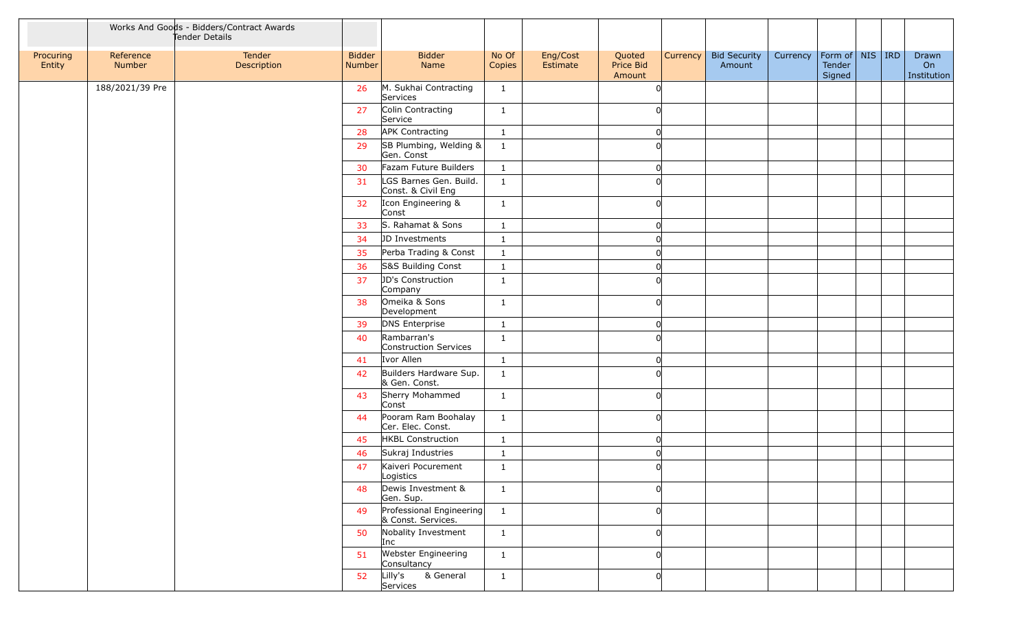|                     |                     | Works And Goods - Bidders/Contract Awards<br>Tender Details |                         |                                                |                 |                      |                               |          |                               |          |                                         |  |                            |
|---------------------|---------------------|-------------------------------------------------------------|-------------------------|------------------------------------------------|-----------------|----------------------|-------------------------------|----------|-------------------------------|----------|-----------------------------------------|--|----------------------------|
| Procuring<br>Entity | Reference<br>Number | Tender<br>Description                                       | <b>Bidder</b><br>Number | <b>Bidder</b><br>Name                          | No Of<br>Copies | Eng/Cost<br>Estimate | Quoted<br>Price Bid<br>Amount | Currency | <b>Bid Security</b><br>Amount | Currency | Form of   NIS   IRD<br>Tender<br>Signed |  | Drawn<br>On<br>Institution |
|                     | 188/2021/39 Pre     |                                                             | 26                      | M. Sukhai Contracting<br>Services              | $\mathbf{1}$    |                      |                               |          |                               |          |                                         |  |                            |
|                     |                     |                                                             | 27                      | Colin Contracting<br>Service                   | $\mathbf{1}$    |                      |                               |          |                               |          |                                         |  |                            |
|                     |                     |                                                             | 28                      | <b>APK Contracting</b>                         | 1               |                      |                               |          |                               |          |                                         |  |                            |
|                     |                     |                                                             | 29                      | SB Plumbing, Welding &<br>Gen. Const           | $\mathbf{1}$    |                      |                               |          |                               |          |                                         |  |                            |
|                     |                     |                                                             | 30                      | Fazam Future Builders                          | $\mathbf{1}$    |                      |                               |          |                               |          |                                         |  |                            |
|                     |                     |                                                             | 31                      | LGS Barnes Gen. Build.<br>Const. & Civil Eng   | $\mathbf{1}$    |                      |                               |          |                               |          |                                         |  |                            |
|                     |                     |                                                             | 32                      | Icon Engineering &<br>Const                    | 1               |                      |                               |          |                               |          |                                         |  |                            |
|                     |                     |                                                             | 33                      | S. Rahamat & Sons                              | $\mathbf{1}$    |                      |                               |          |                               |          |                                         |  |                            |
|                     |                     |                                                             | 34                      | JD Investments                                 | $\mathbf{1}$    |                      |                               |          |                               |          |                                         |  |                            |
|                     |                     |                                                             | 35                      | Perba Trading & Const                          | $\mathbf{1}$    |                      |                               |          |                               |          |                                         |  |                            |
|                     |                     |                                                             | 36                      | S&S Building Const                             | $\mathbf{1}$    |                      |                               |          |                               |          |                                         |  |                            |
|                     |                     |                                                             | 37                      | JD's Construction<br>Company                   | $\mathbf{1}$    |                      |                               |          |                               |          |                                         |  |                            |
|                     |                     |                                                             | 38                      | Omeika & Sons<br>Development                   | 1               |                      |                               |          |                               |          |                                         |  |                            |
|                     |                     |                                                             | 39                      | DNS Enterprise                                 | $\mathbf{1}$    |                      |                               |          |                               |          |                                         |  |                            |
|                     |                     |                                                             | 40                      | Rambarran's<br>Construction Services           | $\mathbf{1}$    |                      |                               |          |                               |          |                                         |  |                            |
|                     |                     |                                                             | 41                      | Ivor Allen                                     | $\mathbf{1}$    |                      |                               |          |                               |          |                                         |  |                            |
|                     |                     |                                                             | 42                      | Builders Hardware Sup.<br>& Gen. Const.        | $\mathbf{1}$    |                      |                               |          |                               |          |                                         |  |                            |
|                     |                     |                                                             | 43                      | Sherry Mohammed<br>Const                       | $\mathbf{1}$    |                      |                               |          |                               |          |                                         |  |                            |
|                     |                     |                                                             | 44                      | Pooram Ram Boohalay<br>Cer. Elec. Const.       | $\mathbf{1}$    |                      |                               |          |                               |          |                                         |  |                            |
|                     |                     |                                                             | 45                      | HKBL Construction                              | $\mathbf{1}$    |                      |                               |          |                               |          |                                         |  |                            |
|                     |                     |                                                             | 46                      | Sukraj Industries                              | $\mathbf{1}$    |                      |                               |          |                               |          |                                         |  |                            |
|                     |                     |                                                             | 47                      | Kaiveri Pocurement<br>Logistics                | $\mathbf{1}$    |                      |                               |          |                               |          |                                         |  |                            |
|                     |                     |                                                             | 48                      | Dewis Investment &<br>Gen. Sup.                | $\mathbf{1}$    |                      |                               |          |                               |          |                                         |  |                            |
|                     |                     |                                                             | 49                      | Professional Engineering<br>& Const. Services. | $\mathbf{1}$    |                      |                               |          |                               |          |                                         |  |                            |
|                     |                     |                                                             | 50                      | Nobality Investment<br>Inc                     | $\mathbf{1}$    |                      |                               |          |                               |          |                                         |  |                            |
|                     |                     |                                                             | 51                      | Webster Engineering<br>Consultancy             | $\mathbf{1}$    |                      |                               |          |                               |          |                                         |  |                            |
|                     |                     |                                                             | 52                      | Lilly's<br>& General<br>Services               | $\mathbf{1}$    |                      |                               |          |                               |          |                                         |  |                            |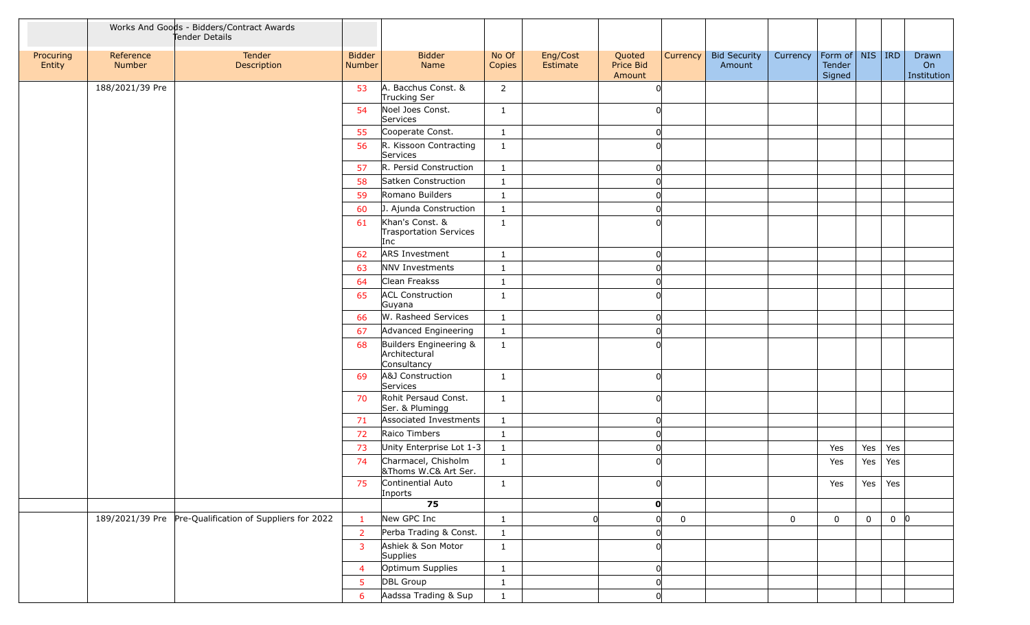|                     | Works And Goods - Bidders/Contract Awards<br>Tender Details<br>Reference<br>Tender |                                                         |                         |                                                        |                 |                      |                               |                             |                                 |             |                                     |     |          |                            |
|---------------------|------------------------------------------------------------------------------------|---------------------------------------------------------|-------------------------|--------------------------------------------------------|-----------------|----------------------|-------------------------------|-----------------------------|---------------------------------|-------------|-------------------------------------|-----|----------|----------------------------|
| Procuring<br>Entity | Number                                                                             | Description                                             | <b>Bidder</b><br>Number | <b>Bidder</b><br>Name                                  | No Of<br>Copies | Eng/Cost<br>Estimate | Quoted<br>Price Bid<br>Amount |                             | Currency Bid Security<br>Amount | Currency    | Form of NIS IRD<br>Tender<br>Signed |     |          | Drawn<br>On<br>Institution |
|                     | 188/2021/39 Pre                                                                    |                                                         | 53                      | A. Bacchus Const. &<br>Trucking Ser                    | $\overline{2}$  |                      |                               |                             |                                 |             |                                     |     |          |                            |
|                     |                                                                                    |                                                         | 54                      | Noel Joes Const.<br>Services                           | $\mathbf{1}$    |                      |                               |                             |                                 |             |                                     |     |          |                            |
|                     |                                                                                    |                                                         | 55                      | Cooperate Const.                                       | $\mathbf{1}$    |                      |                               |                             |                                 |             |                                     |     |          |                            |
|                     |                                                                                    |                                                         | 56                      | R. Kissoon Contracting<br>Services                     | 1               |                      |                               |                             |                                 |             |                                     |     |          |                            |
|                     |                                                                                    |                                                         | 57                      | R. Persid Construction                                 | $\mathbf{1}$    |                      |                               | $\Omega$                    |                                 |             |                                     |     |          |                            |
|                     |                                                                                    |                                                         | 58                      | Satken Construction                                    | $\mathbf{1}$    |                      |                               |                             |                                 |             |                                     |     |          |                            |
|                     |                                                                                    |                                                         | 59                      | Romano Builders                                        | $\mathbf{1}$    |                      |                               |                             |                                 |             |                                     |     |          |                            |
|                     |                                                                                    |                                                         | 60                      | J. Ajunda Construction                                 | $\mathbf{1}$    |                      |                               |                             |                                 |             |                                     |     |          |                            |
|                     |                                                                                    |                                                         | 61                      | Khan's Const. &<br>Trasportation Services<br>Inc       | $\mathbf{1}$    |                      |                               |                             |                                 |             |                                     |     |          |                            |
|                     |                                                                                    |                                                         | 62                      | <b>ARS Investment</b>                                  | $\mathbf{1}$    |                      |                               | <sup>n</sup>                |                                 |             |                                     |     |          |                            |
|                     |                                                                                    |                                                         | 63                      | NNV Investments                                        | 1               |                      |                               |                             |                                 |             |                                     |     |          |                            |
|                     |                                                                                    |                                                         | 64                      | Clean Freakss                                          | $\mathbf{1}$    |                      |                               |                             |                                 |             |                                     |     |          |                            |
|                     |                                                                                    |                                                         | 65                      | <b>ACL Construction</b><br>Guyana                      | $\mathbf{1}$    |                      |                               |                             |                                 |             |                                     |     |          |                            |
|                     |                                                                                    |                                                         | 66                      | W. Rasheed Services                                    | $\mathbf{1}$    |                      |                               |                             |                                 |             |                                     |     |          |                            |
|                     |                                                                                    |                                                         | 67                      | Advanced Engineering                                   | $\mathbf{1}$    |                      |                               |                             |                                 |             |                                     |     |          |                            |
|                     |                                                                                    |                                                         | 68                      | Builders Engineering &<br>Architectural<br>Consultancy | $\mathbf{1}$    |                      |                               |                             |                                 |             |                                     |     |          |                            |
|                     |                                                                                    |                                                         | 69                      | A&J Construction<br>Services                           | $\mathbf{1}$    |                      |                               |                             |                                 |             |                                     |     |          |                            |
|                     |                                                                                    |                                                         | 70                      | Rohit Persaud Const.<br>Ser. & Plumingg                | $\mathbf{1}$    |                      |                               |                             |                                 |             |                                     |     |          |                            |
|                     |                                                                                    |                                                         | 71                      | Associated Investments                                 | $\mathbf{1}$    |                      |                               | 0                           |                                 |             |                                     |     |          |                            |
|                     |                                                                                    |                                                         | 72                      | Raico Timbers                                          | $\mathbf{1}$    |                      |                               | <sup>0</sup>                |                                 |             |                                     |     |          |                            |
|                     |                                                                                    |                                                         | 73                      | Unity Enterprise Lot 1-3                               | $\mathbf{1}$    |                      |                               | n                           |                                 |             | Yes                                 | Yes | Yes      |                            |
|                     |                                                                                    |                                                         | 74                      | Charmacel, Chisholm<br>&Thoms W.C& Art Ser.            | $\mathbf{1}$    |                      |                               |                             |                                 |             | Yes                                 | Yes | Yes      |                            |
|                     |                                                                                    |                                                         | 75                      | Continential Auto<br>Inports                           | $\mathbf{1}$    |                      |                               | $\Omega$                    |                                 |             | Yes                                 | Yes | Yes      |                            |
|                     |                                                                                    |                                                         |                         | 75                                                     |                 |                      |                               | O                           |                                 |             |                                     |     |          |                            |
|                     |                                                                                    | 189/2021/39 Pre Pre-Qualification of Suppliers for 2022 | $\mathbf{1}$            | New GPC Inc                                            | $\mathbf{1}$    | <sub>0</sub>         |                               | $\mathbf 0$<br><sup>n</sup> |                                 | $\mathbf 0$ | 0                                   | 0   | $0$ $ 0$ |                            |
|                     |                                                                                    |                                                         | $\overline{2}$          | Perba Trading & Const.                                 | $\mathbf{1}$    |                      |                               |                             |                                 |             |                                     |     |          |                            |
|                     |                                                                                    |                                                         | $\overline{3}$          | Ashiek & Son Motor<br>Supplies                         | $\mathbf{1}$    |                      |                               |                             |                                 |             |                                     |     |          |                            |
|                     |                                                                                    |                                                         | $\overline{4}$          | Optimum Supplies                                       | $\mathbf{1}$    |                      |                               | 0                           |                                 |             |                                     |     |          |                            |
|                     |                                                                                    |                                                         | 5                       | DBL Group                                              | $\mathbf{1}$    |                      |                               | 0                           |                                 |             |                                     |     |          |                            |
|                     |                                                                                    |                                                         | 6                       | Aadssa Trading & Sup                                   | $\mathbf{1}$    |                      |                               | <sup>n</sup>                |                                 |             |                                     |     |          |                            |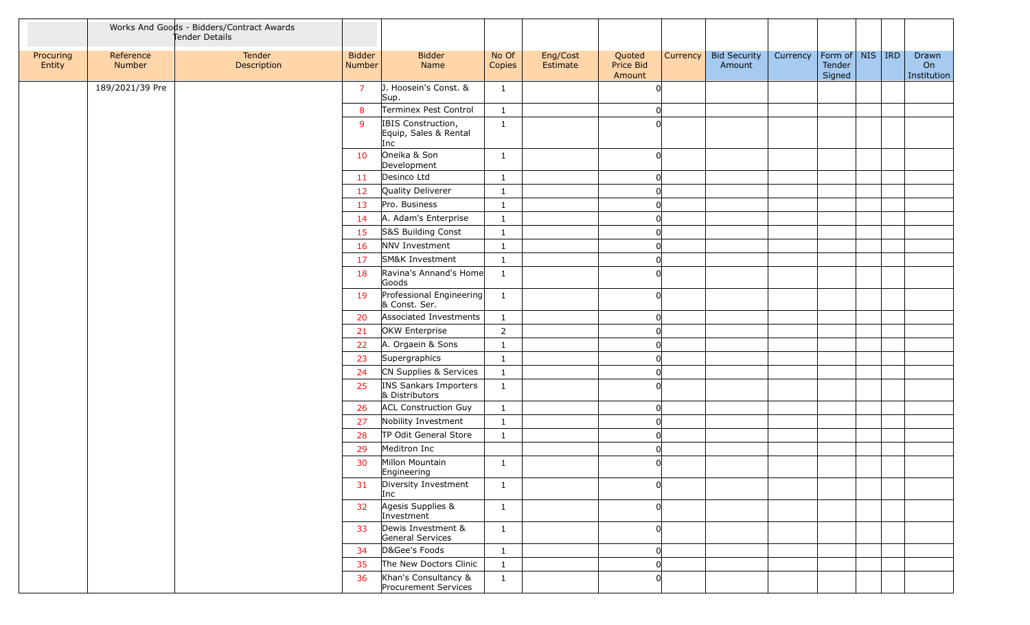|                     |                     | Works And Goods - Bidders/Contract Awards<br>Tender Details |                         |                                                    |                 |                      |                               |          |                               |          |                                         |  |                            |
|---------------------|---------------------|-------------------------------------------------------------|-------------------------|----------------------------------------------------|-----------------|----------------------|-------------------------------|----------|-------------------------------|----------|-----------------------------------------|--|----------------------------|
| Procuring<br>Entity | Reference<br>Number | Tender<br>Description                                       | <b>Bidder</b><br>Number | <b>Bidder</b><br>Name                              | No Of<br>Copies | Eng/Cost<br>Estimate | Quoted<br>Price Bid<br>Amount | Currency | <b>Bid Security</b><br>Amount | Currency | Form of   NIS   IRD<br>Tender<br>Signed |  | Drawn<br>On<br>Institution |
|                     | 189/2021/39 Pre     |                                                             | $\overline{7}$          | J. Hoosein's Const. &<br>Sup.                      | $\mathbf{1}$    |                      | ∩                             |          |                               |          |                                         |  |                            |
|                     |                     |                                                             | 8                       | Terminex Pest Control                              | $\mathbf{1}$    |                      |                               |          |                               |          |                                         |  |                            |
|                     |                     |                                                             | 9                       | IBIS Construction,<br>Equip, Sales & Rental<br>Inc | $\mathbf{1}$    |                      |                               |          |                               |          |                                         |  |                            |
|                     |                     |                                                             | 10                      | Oneika & Son<br>Development                        | $\mathbf{1}$    |                      | <sup>n</sup>                  |          |                               |          |                                         |  |                            |
|                     |                     |                                                             | 11                      | Desinco Ltd                                        | $\mathbf{1}$    |                      |                               |          |                               |          |                                         |  |                            |
|                     |                     |                                                             | 12                      | Quality Deliverer                                  | $\mathbf{1}$    |                      |                               |          |                               |          |                                         |  |                            |
|                     |                     |                                                             | 13                      | Pro. Business                                      | $\mathbf{1}$    |                      |                               |          |                               |          |                                         |  |                            |
|                     |                     |                                                             | 14                      | A. Adam's Enterprise                               | $\mathbf{1}$    |                      |                               |          |                               |          |                                         |  |                            |
|                     |                     |                                                             | 15                      | S&S Building Const                                 | $\mathbf{1}$    |                      |                               |          |                               |          |                                         |  |                            |
|                     |                     |                                                             | 16                      | NNV Investment                                     | $\mathbf{1}$    |                      |                               |          |                               |          |                                         |  |                            |
|                     |                     |                                                             | 17                      | SM&K Investment                                    | $\mathbf{1}$    |                      |                               |          |                               |          |                                         |  |                            |
|                     |                     |                                                             | 18                      | Ravina's Annand's Home<br>Goods                    | $\mathbf{1}$    |                      |                               |          |                               |          |                                         |  |                            |
|                     |                     |                                                             | 19                      | Professional Engineering<br>& Const. Ser.          | $\mathbf{1}$    |                      |                               |          |                               |          |                                         |  |                            |
|                     |                     |                                                             | 20                      | Associated Investments                             | $\mathbf{1}$    |                      | <sup>0</sup>                  |          |                               |          |                                         |  |                            |
|                     |                     |                                                             | 21                      | OKW Enterprise                                     | $\overline{2}$  |                      |                               |          |                               |          |                                         |  |                            |
|                     |                     |                                                             | 22                      | A. Orgaein & Sons                                  | $\mathbf{1}$    |                      |                               |          |                               |          |                                         |  |                            |
|                     |                     |                                                             | 23                      | Supergraphics                                      | $\mathbf{1}$    |                      |                               |          |                               |          |                                         |  |                            |
|                     |                     |                                                             | 24                      | CN Supplies & Services                             | $\mathbf{1}$    |                      |                               |          |                               |          |                                         |  |                            |
|                     |                     |                                                             | 25                      | INS Sankars Importers<br>& Distributors            | $\mathbf{1}$    |                      |                               |          |                               |          |                                         |  |                            |
|                     |                     |                                                             | 26                      | <b>ACL Construction Guy</b>                        | 1               |                      |                               |          |                               |          |                                         |  |                            |
|                     |                     |                                                             | 27                      | Nobility Investment                                | $\mathbf{1}$    |                      |                               |          |                               |          |                                         |  |                            |
|                     |                     |                                                             | 28                      | TP Odit General Store                              | $\mathbf{1}$    |                      |                               |          |                               |          |                                         |  |                            |
|                     |                     |                                                             | 29                      | Meditron Inc                                       |                 |                      |                               |          |                               |          |                                         |  |                            |
|                     |                     |                                                             | 30                      | Millon Mountain<br>Engineering                     | $\mathbf{1}$    |                      |                               |          |                               |          |                                         |  |                            |
|                     |                     |                                                             | 31                      | Diversity Investment<br>Inc                        | $\mathbf{1}$    |                      |                               |          |                               |          |                                         |  |                            |
|                     |                     |                                                             | 32                      | Agesis Supplies &<br>Investment                    | $\mathbf{1}$    |                      | ∩                             |          |                               |          |                                         |  |                            |
|                     |                     |                                                             | 33                      | Dewis Investment &<br>General Services             | $\mathbf{1}$    |                      | <sup>n</sup>                  |          |                               |          |                                         |  |                            |
|                     |                     |                                                             | 34                      | D&Gee's Foods                                      | $\mathbf{1}$    |                      |                               |          |                               |          |                                         |  |                            |
|                     |                     |                                                             | 35                      | The New Doctors Clinic                             | $\mathbf{1}$    |                      |                               |          |                               |          |                                         |  |                            |
|                     |                     |                                                             | 36                      | Khan's Consultancy &<br>Procurement Services       | $\mathbf{1}$    |                      |                               |          |                               |          |                                         |  |                            |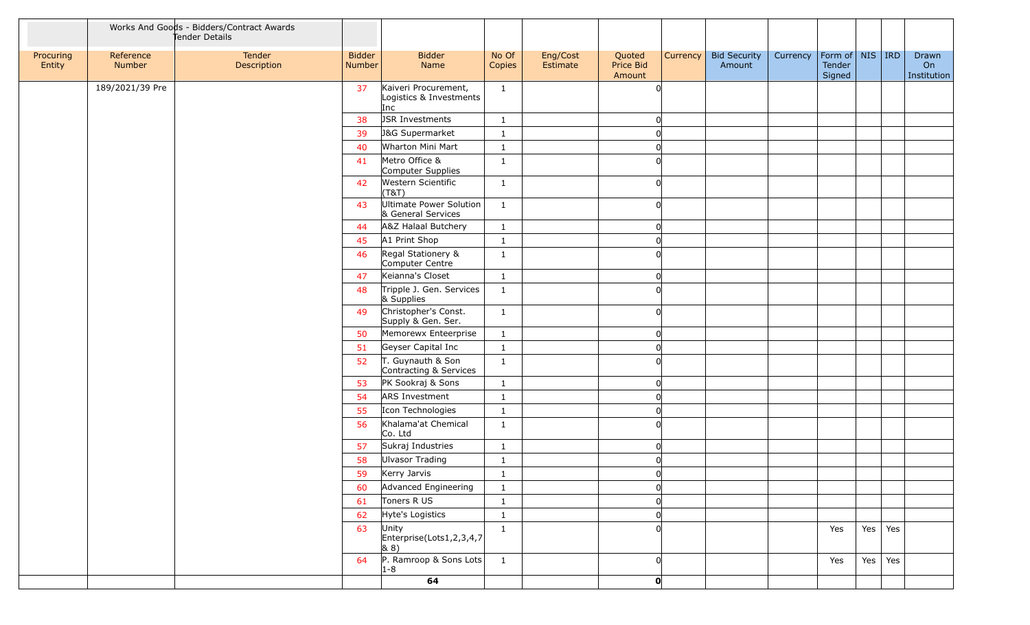|                     |                     | Works And Goods - Bidders/Contract Awards<br>Tender Details |                         |                                                        |                                         |                      |                               |          |                               |          |                                         |         |                            |
|---------------------|---------------------|-------------------------------------------------------------|-------------------------|--------------------------------------------------------|-----------------------------------------|----------------------|-------------------------------|----------|-------------------------------|----------|-----------------------------------------|---------|----------------------------|
| Procuring<br>Entity | Reference<br>Number | Tender<br>Description                                       | <b>Bidder</b><br>Number | <b>Bidder</b><br>Name                                  | No Of<br>Copies                         | Eng/Cost<br>Estimate | Quoted<br>Price Bid<br>Amount | Currency | <b>Bid Security</b><br>Amount | Currency | Form of   NIS   IRD<br>Tender<br>Signed |         | Drawn<br>On<br>Institution |
|                     | 189/2021/39 Pre     |                                                             | 37                      | Kaiveri Procurement,<br>Logistics & Investments<br>Inc | $\mathbf{1}$                            |                      |                               |          |                               |          |                                         |         |                            |
|                     |                     |                                                             | 38                      | JSR Investments                                        | $\mathbf{1}$                            |                      |                               |          |                               |          |                                         |         |                            |
|                     |                     |                                                             | 39                      | J&G Supermarket                                        | $\mathbf{1}$                            |                      |                               |          |                               |          |                                         |         |                            |
|                     |                     |                                                             | 40                      | Wharton Mini Mart                                      | $\mathbf{1}$                            |                      |                               |          |                               |          |                                         |         |                            |
|                     |                     |                                                             | 41                      | Metro Office &<br>Computer Supplies                    | $\mathbf{1}$                            |                      |                               |          |                               |          |                                         |         |                            |
|                     |                     |                                                             | 42                      | Western Scientific<br>(T&T)                            | $\mathbf{1}$                            |                      |                               |          |                               |          |                                         |         |                            |
|                     |                     |                                                             | 43                      | Ultimate Power Solution<br>& General Services          | $\mathbf{1}$                            |                      |                               |          |                               |          |                                         |         |                            |
|                     |                     |                                                             | 44                      | A&Z Halaal Butchery                                    | $\mathbf{1}$                            |                      |                               |          |                               |          |                                         |         |                            |
|                     |                     |                                                             | 45                      | A1 Print Shop                                          | $\mathbf{1}$                            |                      |                               |          |                               |          |                                         |         |                            |
|                     |                     |                                                             | 46                      | Regal Stationery &<br>Computer Centre                  | $\mathbf{1}$                            |                      |                               |          |                               |          |                                         |         |                            |
|                     |                     |                                                             | 47                      | Keianna's Closet                                       | $\mathbf{1}$                            |                      |                               |          |                               |          |                                         |         |                            |
|                     |                     |                                                             | 48                      | Tripple J. Gen. Services<br>& Supplies                 | $\mathbf{1}$                            |                      |                               |          |                               |          |                                         |         |                            |
|                     |                     |                                                             | 49                      | Christopher's Const.<br>Supply & Gen. Ser.             | 1                                       |                      |                               |          |                               |          |                                         |         |                            |
|                     |                     |                                                             | 50                      | Memorewx Enteerprise                                   | $\mathbf{1}$                            |                      |                               |          |                               |          |                                         |         |                            |
|                     |                     |                                                             | 51                      | Geyser Capital Inc                                     | $\mathbf{1}$                            |                      |                               |          |                               |          |                                         |         |                            |
|                     |                     |                                                             | 52                      | T. Guynauth & Son<br>Contracting & Services            | $\mathbf{1}$                            |                      |                               |          |                               |          |                                         |         |                            |
|                     |                     |                                                             | 53                      | PK Sookraj & Sons                                      | $\mathbf{1}$                            |                      |                               |          |                               |          |                                         |         |                            |
|                     |                     |                                                             | 54                      | ARS Investment                                         | $\mathbf{1}$                            |                      |                               |          |                               |          |                                         |         |                            |
|                     |                     |                                                             | 55                      | Icon Technologies                                      | $\mathbf{1}$                            |                      |                               |          |                               |          |                                         |         |                            |
|                     |                     |                                                             | 56                      | Khalama'at Chemical<br>Co. Ltd                         | $\mathbf{1}$                            |                      |                               |          |                               |          |                                         |         |                            |
|                     |                     |                                                             | 57                      | Sukraj Industries                                      | $\mathbf{1}$                            |                      |                               |          |                               |          |                                         |         |                            |
|                     |                     |                                                             | 58                      | Ulvasor Trading                                        | $\mathbf{1}$                            |                      |                               |          |                               |          |                                         |         |                            |
|                     |                     |                                                             | 59                      | Kerry Jarvis                                           | $\overline{\mathbf{1}}$<br>$\mathbf{r}$ |                      |                               |          |                               |          |                                         |         |                            |
|                     |                     |                                                             | 60                      | Advanced Engineering                                   | $\mathbf{1}$                            |                      |                               |          |                               |          |                                         |         |                            |
|                     |                     |                                                             | 61                      | Toners R US                                            | $\mathbf{1}$                            |                      |                               |          |                               |          |                                         |         |                            |
|                     |                     |                                                             | 62                      | Hyte's Logistics                                       | $\mathbf{1}$                            |                      |                               |          |                               |          |                                         |         |                            |
|                     |                     |                                                             | 63                      | Unity<br>$\vert$ Enterprise(Lots1,2,3,4,7)<br>(8.8)    | $\mathbf{1}$                            |                      |                               |          |                               |          | Yes                                     | Yes Yes |                            |
|                     |                     |                                                             | 64                      | $P.$ Ramroop & Sons Lots<br>$1 - 8$                    | $\frac{1}{1}$                           |                      |                               |          |                               |          | Yes                                     | Yes Yes |                            |
|                     |                     |                                                             |                         | 64                                                     |                                         |                      | $\mathbf{0}$                  |          |                               |          |                                         |         |                            |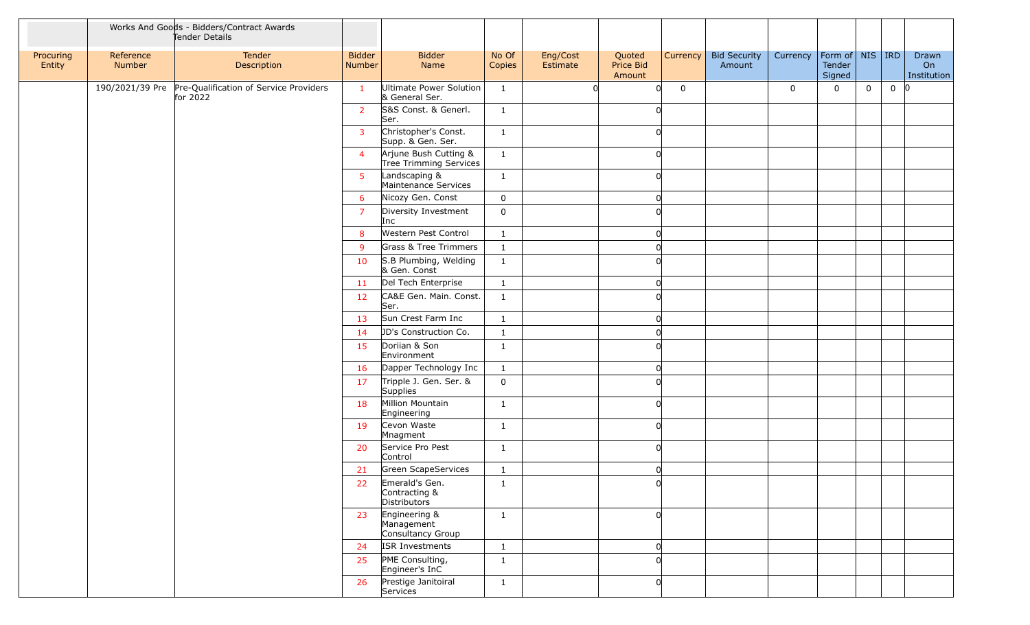|                     |                     | Works And Goods - Bidders/Contract Awards<br>Tender Details |                         |                                                  |                 |                      |                               |          |                               |             |                                    |   |          |                            |
|---------------------|---------------------|-------------------------------------------------------------|-------------------------|--------------------------------------------------|-----------------|----------------------|-------------------------------|----------|-------------------------------|-------------|------------------------------------|---|----------|----------------------------|
| Procuring<br>Entity | Reference<br>Number | Tender<br>Description                                       | <b>Bidder</b><br>Number | <b>Bidder</b><br>Name                            | No Of<br>Copies | Eng/Cost<br>Estimate | Quoted<br>Price Bid<br>Amount | Currency | <b>Bid Security</b><br>Amount | Currency    | Form of NIS RD<br>Tender<br>Signed |   |          | Drawn<br>On<br>Institution |
|                     | 190/2021/39 Pre     | Pre-Qualification of Service Providers<br>for 2022          | $\mathbf{1}$            | Ultimate Power Solution<br>& General Ser.        | $\mathbf{1}$    |                      | 0l                            | 0        |                               | $\mathbf 0$ | 0                                  | 0 | $0$ $ 0$ |                            |
|                     |                     |                                                             | <b>2</b>                | S&S Const. & Generl.<br>Ser.                     | $\mathbf{1}$    |                      |                               |          |                               |             |                                    |   |          |                            |
|                     |                     |                                                             | $\overline{3}$          | Christopher's Const.<br>Supp. & Gen. Ser.        | $\mathbf{1}$    |                      | ∩                             |          |                               |             |                                    |   |          |                            |
|                     |                     |                                                             | $\overline{4}$          | Arjune Bush Cutting &<br>Tree Trimming Services  | $\mathbf{1}$    |                      |                               |          |                               |             |                                    |   |          |                            |
|                     |                     |                                                             | 5                       | Landscaping &<br>Maintenance Services            | $\mathbf{1}$    |                      |                               |          |                               |             |                                    |   |          |                            |
|                     |                     |                                                             | 6                       | Nicozy Gen. Const                                | $\mathbf 0$     |                      | ∩                             |          |                               |             |                                    |   |          |                            |
|                     |                     |                                                             | $\overline{7}$          | Diversity Investment<br>Inc                      | $\mathbf 0$     |                      |                               |          |                               |             |                                    |   |          |                            |
|                     |                     |                                                             | 8                       | Western Pest Control                             | $\mathbf{1}$    |                      |                               |          |                               |             |                                    |   |          |                            |
|                     |                     |                                                             | 9                       | Grass & Tree Trimmers                            | $\mathbf{1}$    |                      |                               |          |                               |             |                                    |   |          |                            |
|                     |                     |                                                             | 10                      | S.B Plumbing, Welding<br>& Gen. Const            | $\mathbf{1}$    |                      |                               |          |                               |             |                                    |   |          |                            |
|                     |                     |                                                             | 11                      | Del Tech Enterprise                              | $\mathbf{1}$    |                      |                               |          |                               |             |                                    |   |          |                            |
|                     |                     |                                                             | 12                      | CA&E Gen. Main. Const.<br>Ser.                   | $\mathbf{1}$    |                      |                               |          |                               |             |                                    |   |          |                            |
|                     |                     |                                                             | 13                      | Sun Crest Farm Inc                               | $\mathbf{1}$    |                      |                               |          |                               |             |                                    |   |          |                            |
|                     |                     |                                                             | 14                      | JD's Construction Co.                            | $\mathbf{1}$    |                      |                               |          |                               |             |                                    |   |          |                            |
|                     |                     |                                                             | 15                      | Doriian & Son<br>Environment                     | $\mathbf{1}$    |                      |                               |          |                               |             |                                    |   |          |                            |
|                     |                     |                                                             | 16                      | Dapper Technology Inc                            | $\mathbf{1}$    |                      | <sup>n</sup>                  |          |                               |             |                                    |   |          |                            |
|                     |                     |                                                             | 17                      | Tripple J. Gen. Ser. &<br>Supplies               | $\mathbf 0$     |                      |                               |          |                               |             |                                    |   |          |                            |
|                     |                     |                                                             | 18                      | Million Mountain<br>Engineering                  | $\mathbf{1}$    |                      |                               |          |                               |             |                                    |   |          |                            |
|                     |                     |                                                             | 19                      | Cevon Waste<br>Mnagment                          | $\mathbf{1}$    |                      | ∩                             |          |                               |             |                                    |   |          |                            |
|                     |                     |                                                             | 20                      | Service Pro Pest<br>Control                      | $\mathbf{1}$    |                      |                               |          |                               |             |                                    |   |          |                            |
|                     |                     |                                                             | 21                      | Green ScapeServices                              | $\mathbf{1}$    |                      | ∩                             |          |                               |             |                                    |   |          |                            |
|                     |                     |                                                             | 22                      | Emerald's Gen.<br>Contracting &<br>Distributors  | $\mathbf{1}$    |                      | ΩI                            |          |                               |             |                                    |   |          |                            |
|                     |                     |                                                             | 23                      | Engineering &<br>Management<br>Consultancy Group | $\mathbf{1}$    |                      |                               |          |                               |             |                                    |   |          |                            |
|                     |                     |                                                             | 24                      | <b>ISR Investments</b>                           | $\mathbf{1}$    |                      | 0l                            |          |                               |             |                                    |   |          |                            |
|                     |                     |                                                             | 25                      | PME Consulting,<br>Engineer's InC                | $\mathbf{1}$    |                      |                               |          |                               |             |                                    |   |          |                            |
|                     |                     |                                                             | 26                      | Prestige Janitoiral<br>Services                  | $\mathbf{1}$    |                      |                               |          |                               |             |                                    |   |          |                            |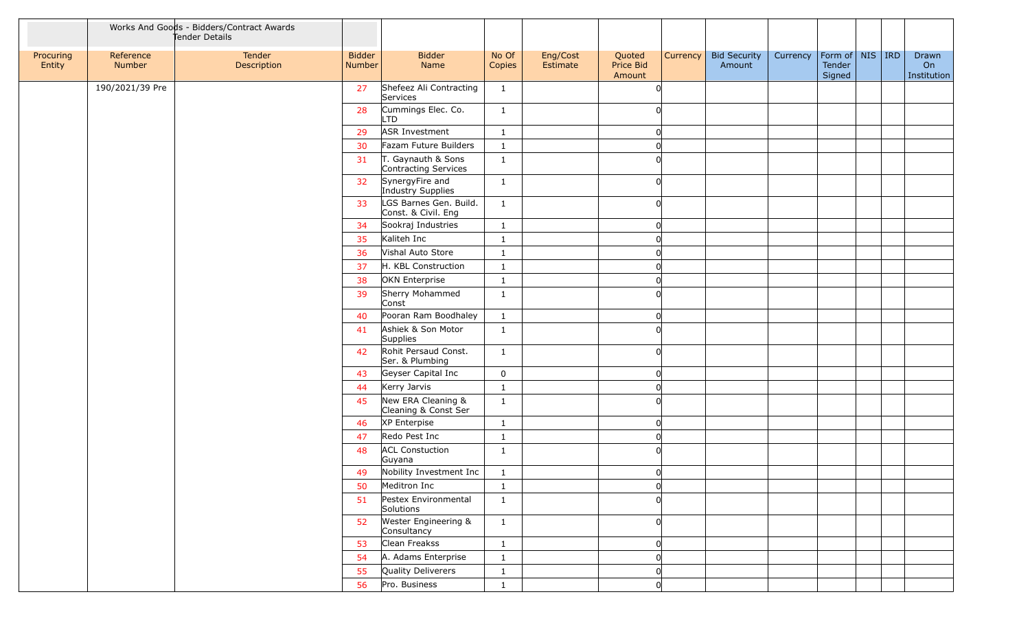|                     |                     | Works And Goods - Bidders/Contract Awards<br>Tender Details |                         |                                               |                 |                      |                               |                 |                               |          |                                    |  |                            |
|---------------------|---------------------|-------------------------------------------------------------|-------------------------|-----------------------------------------------|-----------------|----------------------|-------------------------------|-----------------|-------------------------------|----------|------------------------------------|--|----------------------------|
| Procuring<br>Entity | Reference<br>Number | Tender<br>Description                                       | <b>Bidder</b><br>Number | <b>Bidder</b><br>Name                         | No Of<br>Copies | Eng/Cost<br>Estimate | Quoted<br>Price Bid<br>Amount | <b>Currency</b> | <b>Bid Security</b><br>Amount | Currency | Form of NIS RD<br>Tender<br>Signed |  | Drawn<br>On<br>Institution |
|                     | 190/2021/39 Pre     |                                                             | 27                      | Shefeez Ali Contracting<br>Services           | $\mathbf{1}$    |                      | ∩                             |                 |                               |          |                                    |  |                            |
|                     |                     |                                                             | 28                      | Cummings Elec. Co.<br>LTD                     | $\mathbf{1}$    |                      |                               |                 |                               |          |                                    |  |                            |
|                     |                     |                                                             | 29                      | ASR Investment                                | $\mathbf{1}$    |                      |                               |                 |                               |          |                                    |  |                            |
|                     |                     |                                                             | 30                      | Fazam Future Builders                         | $\mathbf{1}$    |                      |                               |                 |                               |          |                                    |  |                            |
|                     |                     |                                                             | 31                      | T. Gaynauth & Sons<br>Contracting Services    | $\mathbf{1}$    |                      |                               |                 |                               |          |                                    |  |                            |
|                     |                     |                                                             | 32                      | SynergyFire and<br>Industry Supplies          | $\mathbf{1}$    |                      |                               |                 |                               |          |                                    |  |                            |
|                     |                     |                                                             | 33                      | LGS Barnes Gen. Build.<br>Const. & Civil. Eng | $\mathbf{1}$    |                      |                               |                 |                               |          |                                    |  |                            |
|                     |                     |                                                             | 34                      | Sookraj Industries                            | $\mathbf{1}$    |                      |                               |                 |                               |          |                                    |  |                            |
|                     |                     |                                                             | 35                      | Kaliteh Inc                                   | $\mathbf{1}$    |                      |                               |                 |                               |          |                                    |  |                            |
|                     |                     |                                                             | 36                      | Vishal Auto Store                             | $\mathbf{1}$    |                      |                               |                 |                               |          |                                    |  |                            |
|                     |                     |                                                             | 37                      | H. KBL Construction                           | $\mathbf{1}$    |                      |                               |                 |                               |          |                                    |  |                            |
|                     |                     |                                                             | 38                      | OKN Enterprise                                | $\mathbf{1}$    |                      |                               |                 |                               |          |                                    |  |                            |
|                     |                     |                                                             | 39                      | Sherry Mohammed<br>Const                      | $\mathbf{1}$    |                      |                               |                 |                               |          |                                    |  |                            |
|                     |                     |                                                             | 40                      | Pooran Ram Boodhaley                          | $\mathbf{1}$    |                      |                               |                 |                               |          |                                    |  |                            |
|                     |                     |                                                             | 41                      | Ashiek & Son Motor<br>Supplies                | $\mathbf{1}$    |                      |                               |                 |                               |          |                                    |  |                            |
|                     |                     |                                                             | 42                      | Rohit Persaud Const.<br>Ser. & Plumbing       | $\mathbf{1}$    |                      | ΩI                            |                 |                               |          |                                    |  |                            |
|                     |                     |                                                             | 43                      | Geyser Capital Inc                            | $\mathbf 0$     |                      |                               |                 |                               |          |                                    |  |                            |
|                     |                     |                                                             | 44                      | Kerry Jarvis                                  | $\mathbf{1}$    |                      |                               |                 |                               |          |                                    |  |                            |
|                     |                     |                                                             | 45                      | New ERA Cleaning &<br>Cleaning & Const Ser    | $\mathbf{1}$    |                      |                               |                 |                               |          |                                    |  |                            |
|                     |                     |                                                             | 46                      | XP Enterpise                                  | $\mathbf{1}$    |                      |                               |                 |                               |          |                                    |  |                            |
|                     |                     |                                                             | 47                      | Redo Pest Inc                                 | $\mathbf{1}$    |                      |                               |                 |                               |          |                                    |  |                            |
|                     |                     |                                                             | 48                      | <b>ACL Constuction</b><br>Guyana              | $\mathbf{1}$    |                      |                               |                 |                               |          |                                    |  |                            |
|                     |                     |                                                             | 49                      | Nobility Investment Inc                       | $\mathbf{1}$    |                      | ∩                             |                 |                               |          |                                    |  |                            |
|                     |                     |                                                             | 50                      | Meditron Inc                                  | $\mathbf{1}$    |                      | <sup>0</sup>                  |                 |                               |          |                                    |  |                            |
|                     |                     |                                                             | 51                      | Pestex Environmental<br>Solutions             | $\mathbf{1}$    |                      |                               |                 |                               |          |                                    |  |                            |
|                     |                     |                                                             | 52                      | Wester Engineering &<br>Consultancy           | $\mathbf{1}$    |                      |                               |                 |                               |          |                                    |  |                            |
|                     |                     |                                                             | 53                      | Clean Freakss                                 | $\mathbf{1}$    |                      | n                             |                 |                               |          |                                    |  |                            |
|                     |                     |                                                             | 54                      | A. Adams Enterprise                           | $\mathbf{1}$    |                      |                               |                 |                               |          |                                    |  |                            |
|                     |                     |                                                             | 55                      | Quality Deliverers                            | $\mathbf{1}$    |                      |                               |                 |                               |          |                                    |  |                            |
|                     |                     |                                                             | 56                      | Pro. Business                                 | $\mathbf{1}$    |                      | <sup>n</sup>                  |                 |                               |          |                                    |  |                            |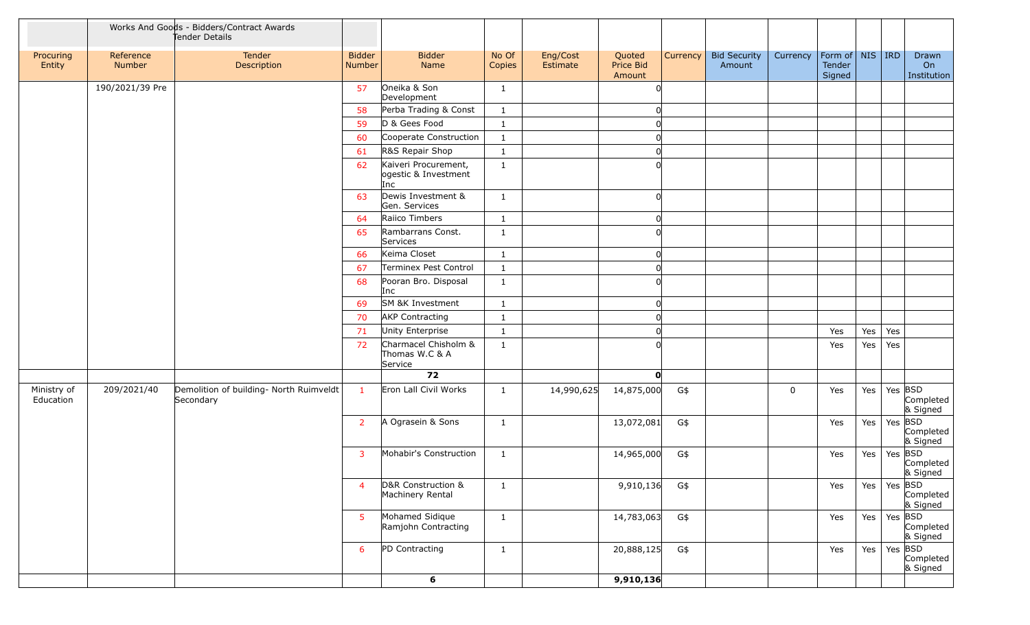|                          |                     | Works And Goods - Bidders/Contract Awards<br>Tender Details |                         |                                                     |                 |                      |                               |          |                               |             |                                                 |     |                   |                            |
|--------------------------|---------------------|-------------------------------------------------------------|-------------------------|-----------------------------------------------------|-----------------|----------------------|-------------------------------|----------|-------------------------------|-------------|-------------------------------------------------|-----|-------------------|----------------------------|
| Procuring<br>Entity      | Reference<br>Number | Tender<br>Description                                       | <b>Bidder</b><br>Number | <b>Bidder</b><br>Name                               | No Of<br>Copies | Eng/Cost<br>Estimate | Quoted<br>Price Bid<br>Amount | Currency | <b>Bid Security</b><br>Amount | Currency    | $ $ Form of $ $ NIS $ $ IRD<br>Tender<br>Signed |     |                   | Drawn<br>On<br>Institution |
|                          | 190/2021/39 Pre     |                                                             | 57                      | Oneika & Son<br>Development                         | $\mathbf{1}$    |                      |                               |          |                               |             |                                                 |     |                   |                            |
|                          |                     |                                                             | 58                      | Perba Trading & Const                               | $\mathbf{1}$    |                      |                               |          |                               |             |                                                 |     |                   |                            |
|                          |                     |                                                             | 59                      | D & Gees Food                                       | $\mathbf{1}$    |                      |                               |          |                               |             |                                                 |     |                   |                            |
|                          |                     |                                                             | 60                      | Cooperate Construction                              | $\mathbf{1}$    |                      |                               |          |                               |             |                                                 |     |                   |                            |
|                          |                     |                                                             | 61                      | R&S Repair Shop                                     | $\mathbf{1}$    |                      |                               |          |                               |             |                                                 |     |                   |                            |
|                          |                     |                                                             | 62                      | Kaiveri Procurement,<br>ogestic & Investment<br>Inc | $\mathbf{1}$    |                      |                               |          |                               |             |                                                 |     |                   |                            |
|                          |                     |                                                             | 63                      | Dewis Investment &<br>Gen. Services                 | $\mathbf{1}$    |                      |                               |          |                               |             |                                                 |     |                   |                            |
|                          |                     |                                                             | 64                      | Raiico Timbers                                      | $\mathbf{1}$    |                      |                               |          |                               |             |                                                 |     |                   |                            |
|                          |                     |                                                             | 65                      | Rambarrans Const.<br>Services                       | 1               |                      |                               |          |                               |             |                                                 |     |                   |                            |
|                          |                     |                                                             | 66                      | Keima Closet                                        | $\mathbf{1}$    |                      |                               |          |                               |             |                                                 |     |                   |                            |
|                          |                     |                                                             | 67                      | Terminex Pest Control                               | $\mathbf{1}$    |                      |                               |          |                               |             |                                                 |     |                   |                            |
|                          |                     |                                                             | 68                      | Pooran Bro. Disposal<br>Inc                         | $\mathbf{1}$    |                      |                               |          |                               |             |                                                 |     |                   |                            |
|                          |                     |                                                             | 69                      | SM &K Investment                                    | $\mathbf{1}$    |                      |                               |          |                               |             |                                                 |     |                   |                            |
|                          |                     |                                                             | 70                      | <b>AKP Contracting</b>                              | $\mathbf{1}$    |                      |                               |          |                               |             |                                                 |     |                   |                            |
|                          |                     |                                                             | 71                      | Unity Enterprise                                    | $\mathbf{1}$    |                      |                               |          |                               |             | Yes                                             | Yes | Yes               |                            |
|                          |                     |                                                             | 72                      | Charmacel Chisholm &<br>Thomas W.C & A<br>Service   | 1               |                      |                               |          |                               |             | Yes                                             | Yes | Yes               |                            |
|                          |                     |                                                             |                         | 72                                                  |                 |                      | $\mathbf{0}$                  |          |                               |             |                                                 |     |                   |                            |
| Ministry of<br>Education | 209/2021/40         | Demolition of building- North Ruimveldt<br>Secondary        | $\mathbf{1}$            | Eron Lall Civil Works                               | $\mathbf{1}$    | 14,990,625           | 14,875,000                    | G\$      |                               | $\mathbf 0$ | Yes                                             | Yes | Yes BSD           | Completed<br>& Signed      |
|                          |                     |                                                             | $\overline{2}$          | A Ograsein & Sons                                   | 1               |                      | 13,072,081                    | G\$      |                               |             | Yes                                             | Yes | Yes BSD           | Completed<br>& Signed      |
|                          |                     |                                                             | 3                       | Mohabir's Construction                              | $\mathbf{1}$    |                      | 14,965,000                    | G\$      |                               |             | Yes                                             | Yes | Yes BSD           | Completed<br>& Signed      |
|                          |                     |                                                             | $\overline{4}$          | D&R Construction &<br>Machinery Rental              | $\mathbf{1}$    |                      | 9,910,136                     | $G$ \$   |                               |             | Yes                                             | Yes | Yes BSD           | Completed<br>& Signed      |
|                          |                     |                                                             | 5 <sup>5</sup>          | Mohamed Sidique<br>Ramjohn Contracting              | $\mathbf{1}$    |                      | 14,783,063                    | G\$      |                               |             | Yes                                             | Yes | Yes BSD           | Completed<br>& Signed      |
|                          |                     |                                                             | 6                       | PD Contracting                                      | $\mathbf{1}$    |                      | 20,888,125                    | G\$      |                               |             | Yes                                             | Yes | Yes $ {\sf BSD} $ | Completed<br>& Signed      |
|                          |                     |                                                             |                         | $6\phantom{a}$                                      |                 |                      | 9,910,136                     |          |                               |             |                                                 |     |                   |                            |